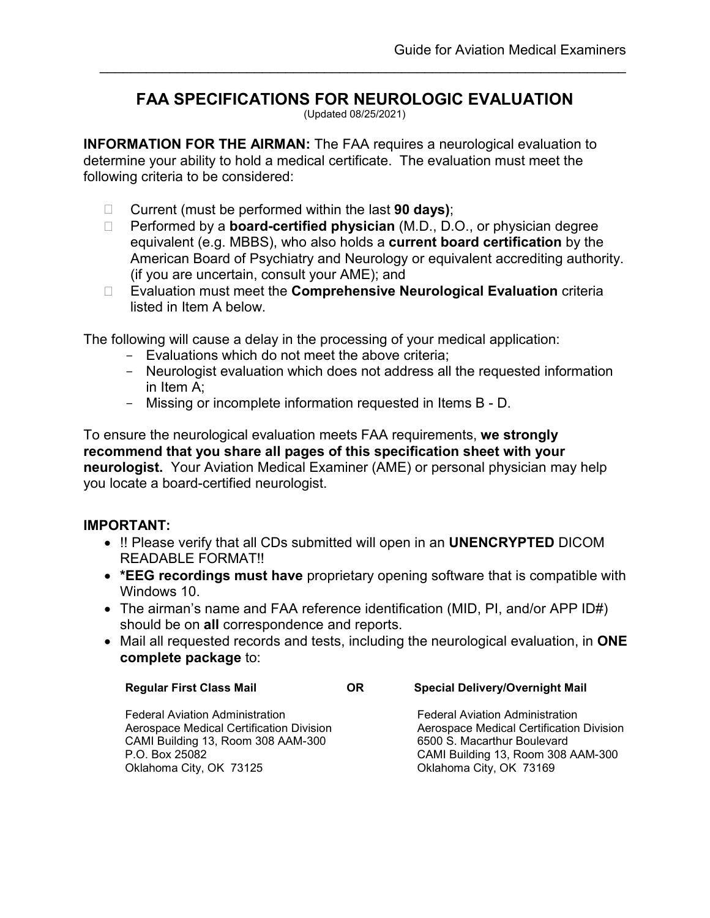# **FAA SPECIFICATIONS FOR NEUROLOGIC EVALUATION**

\_\_\_\_\_\_\_\_\_\_\_\_\_\_\_\_\_\_\_\_\_\_\_\_\_\_\_\_\_\_\_\_\_\_\_\_\_\_\_\_\_\_\_\_\_\_\_\_\_\_\_\_\_\_\_\_\_\_\_\_\_\_\_\_\_\_\_\_

(Updated 08/25/2021)

**INFORMATION FOR THE AIRMAN:** The FAA requires a neurological evaluation to determine your ability to hold a medical certificate. The evaluation must meet the following criteria to be considered:

- Current (must be performed within the last **90 days)**;
- Performed by a **board-certified physician** (M.D., D.O., or physician degree equivalent (e.g. MBBS), who also holds a **current board certification** by the American Board of Psychiatry and Neurology or equivalent accrediting authority. (if you are uncertain, consult your AME); and
- Evaluation must meet the **Comprehensive Neurological Evaluation** criteria listed in Item A below.

The following will cause a delay in the processing of your medical application:

- Evaluations which do not meet the above criteria;
- Neurologist evaluation which does not address all the requested information in Item A;
- Missing or incomplete information requested in Items B D.

To ensure the neurological evaluation meets FAA requirements, **we strongly recommend that you share all pages of this specification sheet with your neurologist.** Your Aviation Medical Examiner (AME) or personal physician may help you locate a board-certified neurologist.

#### **IMPORTANT:**

- !! Please verify that all CDs submitted will open in an **UNENCRYPTED** DICOM READABLE FORMAT!!
- **\*EEG recordings must have** proprietary opening software that is compatible with Windows 10.
- The airman's name and FAA reference identification (MID, PI, and/or APP ID#) should be on **all** correspondence and reports.
- Mail all requested records and tests, including the neurological evaluation, in **ONE complete package** to:

| <b>Regular First Class Mail</b> | ΟR | <b>Special Delivery/Overnight Mail</b> |
|---------------------------------|----|----------------------------------------|
|                                 |    |                                        |

Federal Aviation Administration Federal Aviation Administration CAMI Building 13, Room 308 AAM-300 P.O. Box 25082 CAMI Building 13, Room 308 AAM-300 Oklahoma City, OK 73125 Oklahoma City, OK 73169

Aerospace Medical Certification Division **Aerospace Medical Certification Division**<br>CAMI Building 13, Room 308 AAM-300 6500 S. Macarthur Boulevard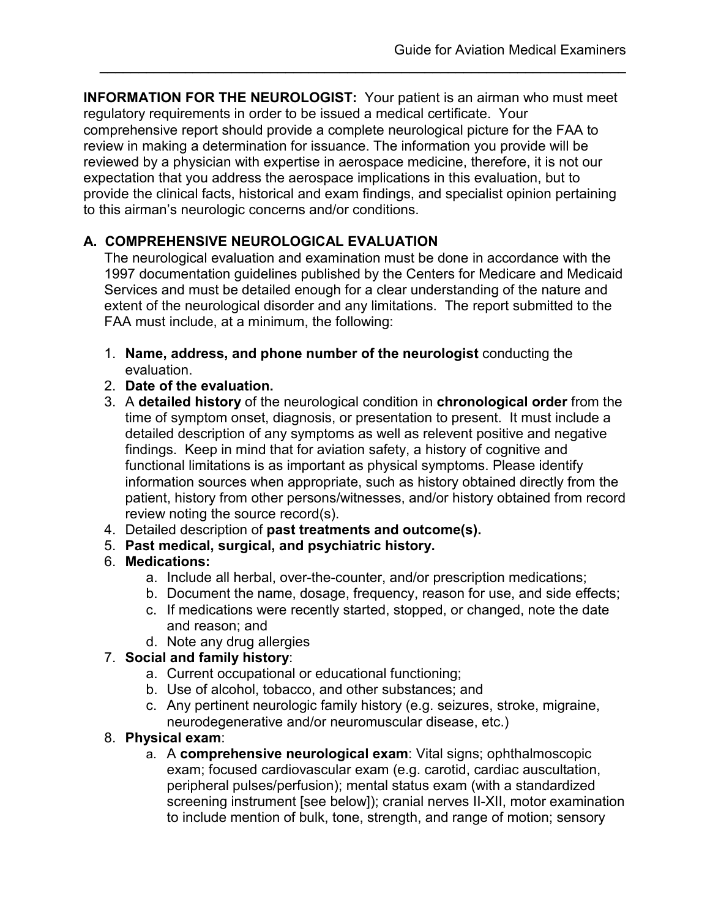**INFORMATION FOR THE NEUROLOGIST:** Your patient is an airman who must meet regulatory requirements in order to be issued a medical certificate. Your comprehensive report should provide a complete neurological picture for the FAA to review in making a determination for issuance. The information you provide will be reviewed by a physician with expertise in aerospace medicine, therefore, it is not our expectation that you address the aerospace implications in this evaluation, but to provide the clinical facts, historical and exam findings, and specialist opinion pertaining to this airman's neurologic concerns and/or conditions.

\_\_\_\_\_\_\_\_\_\_\_\_\_\_\_\_\_\_\_\_\_\_\_\_\_\_\_\_\_\_\_\_\_\_\_\_\_\_\_\_\_\_\_\_\_\_\_\_\_\_\_\_\_\_\_\_\_\_\_\_\_\_\_\_\_\_\_\_

## **A. COMPREHENSIVE NEUROLOGICAL EVALUATION**

The neurological evaluation and examination must be done in accordance with the 1997 documentation guidelines published by the Centers for Medicare and Medicaid Services and must be detailed enough for a clear understanding of the nature and extent of the neurological disorder and any limitations. The report submitted to the FAA must include, at a minimum, the following:

- 1. **Name, address, and phone number of the neurologist** conducting the evaluation.
- 2. **Date of the evaluation.**
- 3. A **detailed history** of the neurological condition in **chronological order** from the time of symptom onset, diagnosis, or presentation to present. It must include a detailed description of any symptoms as well as relevent positive and negative findings. Keep in mind that for aviation safety, a history of cognitive and functional limitations is as important as physical symptoms. Please identify information sources when appropriate, such as history obtained directly from the patient, history from other persons/witnesses, and/or history obtained from record review noting the source record(s).
- 4. Detailed description of **past treatments and outcome(s).**
- 5. **Past medical, surgical, and psychiatric history.**

### 6. **Medications:**

- a. Include all herbal, over-the-counter, and/or prescription medications;
- b. Document the name, dosage, frequency, reason for use, and side effects;
- c. If medications were recently started, stopped, or changed, note the date and reason; and
- d. Note any drug allergies

### 7. **Social and family history**:

- a. Current occupational or educational functioning;
- b. Use of alcohol, tobacco, and other substances; and
- c. Any pertinent neurologic family history (e.g. seizures, stroke, migraine, neurodegenerative and/or neuromuscular disease, etc.)

## 8. **Physical exam**:

a. A **comprehensive neurological exam**: Vital signs; ophthalmoscopic exam; focused cardiovascular exam (e.g. carotid, cardiac auscultation, peripheral pulses/perfusion); mental status exam (with a standardized screening instrument [see below]); cranial nerves II-XII, motor examination to include mention of bulk, tone, strength, and range of motion; sensory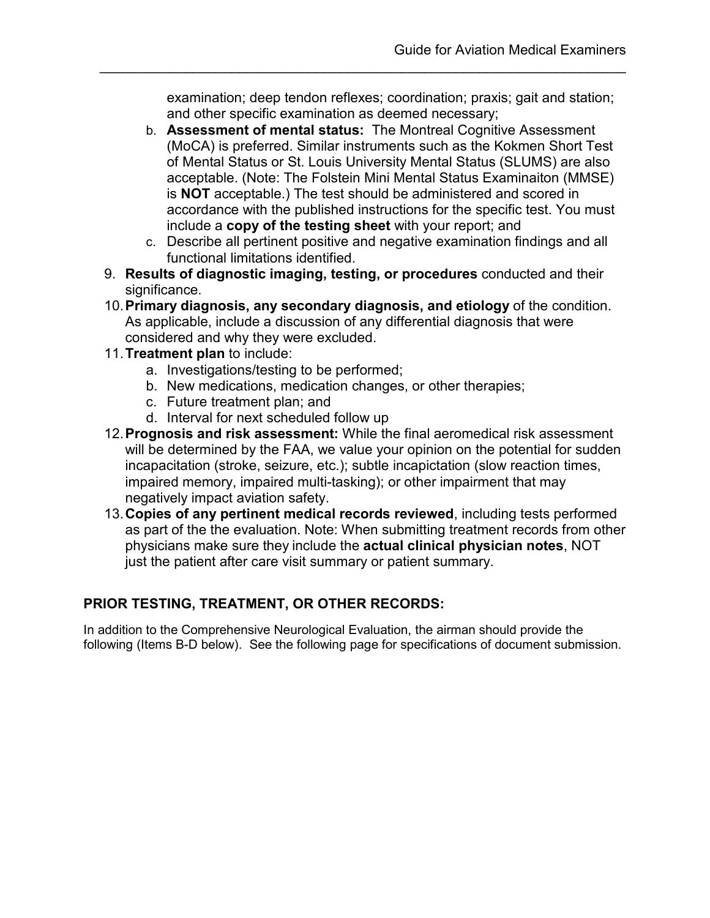examination; deep tendon reflexes; coordination; praxis; gait and station; and other specific examination as deemed necessary;

\_\_\_\_\_\_\_\_\_\_\_\_\_\_\_\_\_\_\_\_\_\_\_\_\_\_\_\_\_\_\_\_\_\_\_\_\_\_\_\_\_\_\_\_\_\_\_\_\_\_\_\_\_\_\_\_\_\_\_\_\_\_\_\_\_\_\_\_

- b. **Assessment of mental status:** The Montreal Cognitive Assessment (MoCA) is preferred. Similar instruments such as the Kokmen Short Test of Mental Status or St. Louis University Mental Status (SLUMS) are also acceptable. (Note: The Folstein Mini Mental Status Examinaiton (MMSE) is **NOT** acceptable.) The test should be administered and scored in accordance with the published instructions for the specific test. You must include a **copy of the testing sheet** with your report; and
- c. Describe all pertinent positive and negative examination findings and all functional limitations identified.
- 9. **Results of diagnostic imaging, testing, or procedures** conducted and their significance.
- 10.**Primary diagnosis, any secondary diagnosis, and etiology** of the condition. As applicable, include a discussion of any differential diagnosis that were considered and why they were excluded.
- 11.**Treatment plan** to include:
	- a. Investigations/testing to be performed;
	- b. New medications, medication changes, or other therapies;
	- c. Future treatment plan; and
	- d. Interval for next scheduled follow up
- 12.**Prognosis and risk assessment:** While the final aeromedical risk assessment will be determined by the FAA, we value your opinion on the potential for sudden incapacitation (stroke, seizure, etc.); subtle incapictation (slow reaction times, impaired memory, impaired multi-tasking); or other impairment that may negatively impact aviation safety.
- 13.**Copies of any pertinent medical records reviewed**, including tests performed as part of the the evaluation. Note: When submitting treatment records from other physicians make sure they include the **actual clinical physician notes**, NOT just the patient after care visit summary or patient summary.

#### **PRIOR TESTING, TREATMENT, OR OTHER RECORDS:**

In addition to the Comprehensive Neurological Evaluation, the airman should provide the following (Items B-D below). See the following page for specifications of document submission.